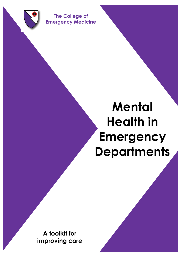

**The College of Emergency Medicine**

**The College of Emergency Medicine**

# **Mental Health in Emergency Departments**

 $M_{\rm H}$  , the edge  $\sim$  Toolkit (FEB 2013) 10  $\pm$  Toolkit (FEB 2013) 10  $\pm$ 

**A toolkit for improving care**

*Excellence in Emergency Care* **December 2012**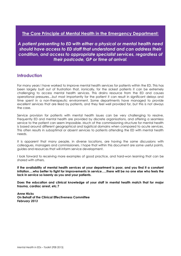#### **The Core Principle of Mental Health in the Emergency Department:**

*A patient presenting to ED with either a physical or mental health need should have access to ED staff that understand and can address their condition, and access to appropriate specialist services, regardless of their postcode, GP or time of arrival.*

#### **Introduction**

For many years I have worked to improve mental health services for patients within the ED. This has been largely built out of frustration that, ironically, for the sickest patients it can be extremely challenging to access mental health services. This drains resource from the ED and causes operational pressures…but most importantly for the patient it can result in significant delays and time spent in a non-therapeutic environment. Some departments have managed to provide excellent services that are liked by patients, and they feel well provided for, but this is not always the case.

Service provision for patients with mental health issues can be very challenging to resolve. Frequently ED and mental health are provided by discrete organisations, and offering a seamless service to the patient can seem impossible. Much of the commissioning structure for mental health is based around different geographical and logistical domains when compared to acute services. This often results in suboptimal or absent services to patients attending the ED with mental health needs.

It is apparent that many people, in diverse locations, are having the same discussions with colleagues, managers and commissioners. I hope that within this document are some useful points, guides and resources that will inform service development.

I look forward to receiving more examples of good practice, and hard-won learning that can be shared with others.

**If the availability of mental health services at your department is poor, and you find it a constant irritation….who better to fight for improvements in service…..there will be no one else who feels the lack in service so keenly as you and your patients.**

**Does the education and clinical knowledge of your staff in mental health match that for major trauma, cardiac arrest, etc.?** 

**Anne Hicks On Behalf of the Clinical Effectiveness Committee** *February 2013*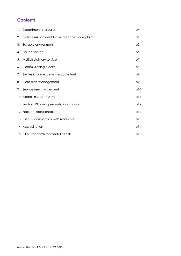### **Contents**

|    | 1. Department strategies                              | p4             |
|----|-------------------------------------------------------|----------------|
|    | 2. Collate risk, incident forms, breaches, complaints | p5             |
| 3. | Suitable environment                                  | p <sub>5</sub> |
| 4. | Liaison service                                       | p6             |
|    | 5. Multidisciplinary service                          | p7             |
| 6. | Commissioning blocks                                  | p8             |
|    | 7. Strategic presence in the acute trust              | p9             |
|    | 8. Care plan management                               | p10            |
|    | 9. Service user involvement                           | p10            |
|    | 10. Strong links with CMHT                            | pll            |
|    | 11. Section 136 arrangements, local policy            | p12            |
|    | 12. National representation                           | p12            |
|    | 13. Useful documents & web resources                  | p13            |
|    | 14. Accreditation                                     | p14            |
|    | 15. CEM standards for mental health                   | p15            |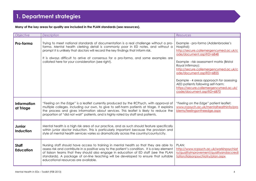**Many of the key areas for quality are included in the PLAN standards (see resources).**

| Objective                         | Description                                                                                                                                                                                                                                                                                                                                                                                                   | <b>Resources</b>                                                                                                                                                                                                                                                                                                                                                                                                       |
|-----------------------------------|---------------------------------------------------------------------------------------------------------------------------------------------------------------------------------------------------------------------------------------------------------------------------------------------------------------------------------------------------------------------------------------------------------------|------------------------------------------------------------------------------------------------------------------------------------------------------------------------------------------------------------------------------------------------------------------------------------------------------------------------------------------------------------------------------------------------------------------------|
| Pro-forma                         | Trying to meet national standards of documentation is a real challenge without a pro-<br>forma. Mental health clerking detail is commonly poor in ED notes, and without a<br>prompt it is unlikely that doctors will record the key findings that inform risk.<br>It is always difficult to arrive at consensus for a pro-forma, and some examples are<br>collated here for your consideration (see right).   | Example - pro-forma (Addenbrooke's<br>Hospital):<br>http://secure.collemergencymed.ac.uk/c<br>ode/document.asp?ID=6848<br>Example - risk assessment matrix (Bristol<br>Royal Infirmary):<br>http://secure.collemergencymed.ac.uk/c<br>ode/document.asp?ID=6855<br>Example - 4 areas approach for assessing<br>AED patients following self-harm:<br>https://secure.collemergencymed.ac.uk/<br>code/document.asp?ID=6870 |
| Information<br>at Triage          | "Feeling on the Edge" is a leaflet currently produced by the RCPsych, with approval of<br>multiple colleges, including our own, to give to self-harm patients at triage. It explains<br>the process and gives information about services. This leaflet is likely to reduce the<br>proportion of "did not wait" patients, and is highly rated by staff and patients.                                           | "Feeling on the Edge" patient leaflet:<br>www.rcpsych.ac.uk/mentalhealthinfo/pro<br>blems/feelingontheedge.aspx                                                                                                                                                                                                                                                                                                        |
| <b>Junior</b><br><b>Induction</b> | Mental health is a high risk area of our practice, and as such should feature specifically<br>within junior doctor induction. This is particularly important because the provision and<br>style of mental health services varies so dramatically across the country/county/city.                                                                                                                              |                                                                                                                                                                                                                                                                                                                                                                                                                        |
| <b>Staff</b><br><b>Education</b>  | Nursing staff should have access to training in mental health so that they are able to<br>assess risk and contribute in a positive way to the patient's condition. It is a key element<br>of liaison teams that they should also engage in education of ED staff (see the PLAN<br>standards). A package of on-line teaching will be developed to ensure that suitable<br>educational resources are available. | PLAN:<br>http://www.rcpsych.ac.uk/workinpsychiat<br>ry/qualityimprovement/qualityandaccredi<br>tation/liaisonpsychiatry/plan.aspx                                                                                                                                                                                                                                                                                      |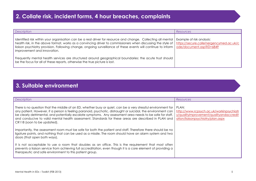### **2. Collate risk, incident forms, 4 hour breaches, complaints**

| Description                                                                                                                                                                                                                                                                                                                                                                                                                                                                  | <b>Resources</b> |
|------------------------------------------------------------------------------------------------------------------------------------------------------------------------------------------------------------------------------------------------------------------------------------------------------------------------------------------------------------------------------------------------------------------------------------------------------------------------------|------------------|
| Identified risk within your organisation can be a real driver for resource and change. Collecting all mental   Example of risk analysis:<br>health risk, in the above format, works as a convincing driver to commissioners when discussing the style of   https://secure.collemergencymed.ac.uk/c<br>liaison psychiatry provision. Following change, ongoing surveillance of these events will continue to inform   ode/document.asp?ID=6849<br>improvement and innovation. |                  |
| Frequently mental health services are structured around geographical boundaries: the acute trust should<br>be the focus for all of these reports, otherwise the true picture is lost.                                                                                                                                                                                                                                                                                        |                  |

### **3. Suitable environment**

| There is no question that the middle of an ED, whether busy or quiet, can be a very stressful environment for<br>PLAN:                                                                                                                                                                                                                                                                                                                                                                                                                                                                                                                                                                                                                                                                                                                                                           | <b>Description</b>                                                                                            | Resources                                |
|----------------------------------------------------------------------------------------------------------------------------------------------------------------------------------------------------------------------------------------------------------------------------------------------------------------------------------------------------------------------------------------------------------------------------------------------------------------------------------------------------------------------------------------------------------------------------------------------------------------------------------------------------------------------------------------------------------------------------------------------------------------------------------------------------------------------------------------------------------------------------------|---------------------------------------------------------------------------------------------------------------|------------------------------------------|
| be clearly detrimental, and potentially escalate symptoms. Any assessment area needs to be safe for staff,<br>y/qualityimprovement/qualityandaccredit<br>and conducive to valid mental health assessment. Standards for these areas are described in PLAN and<br>ation/liaisonpsychiatry/plan.aspx<br>CR118 (soon to be updated).<br>Importantly, the assessment room must be safe for both the patient and staff. Therefore there should be no<br>ligature points, and nothing that can be used as a missile. The room should have an alarm system and two<br>doors (that open both ways).<br>It is not acceptable to use a room that doubles as an office. This is the requirement that most often<br>prevents a liaison service from achieving full accreditation, even though it is a core element of providing a<br>therapeutic and safe environment to this patient group. | any patient. However, if a person is feeling paranoid, psychotic, distraught or suicidal, the environment can | http://www.rcpsych.ac.uk/workinpsychiatr |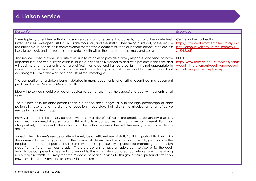| Description                                                                                                                                                                                                                                                                                                                                                                                                                                                                                                                                                                                                                                                                                                                                            | Resources                                                                                                                         |
|--------------------------------------------------------------------------------------------------------------------------------------------------------------------------------------------------------------------------------------------------------------------------------------------------------------------------------------------------------------------------------------------------------------------------------------------------------------------------------------------------------------------------------------------------------------------------------------------------------------------------------------------------------------------------------------------------------------------------------------------------------|-----------------------------------------------------------------------------------------------------------------------------------|
| There is plenty of evidence that a Liaison service is of huge benefit to patients, staff and the acute trust.<br>Often services developed just for an ED are too small, and the staff risk becoming burnt out, or the service<br>unsustainable. If the service is commissioned for the whole acute trust, then all patients benefit, staff are less<br>likely to burn out, and the response to mental health within the trust becomes timely and consistent.                                                                                                                                                                                                                                                                                           | Centre for Mental Health:<br>http://www.centreformentalhealth.org.uk/<br>pdfs/liaison psychiatry in the modern NH<br>S 2012.pdf   |
| Any service based outside an acute trust usually struggles to provide a timely response, and tends to have<br>responsibilities elsewhere. Psychiatrists in liaison are specifically trained to deal with patients in this field, and<br>will add more to the patients and hospital Trust than a general trained psychiatrist. It is not appropriate to<br>cover an acute trust service with a general consultant psychiatrist: one wouldn't ask a consultant<br>cardiologist to cover the work of a consultant rheumatologist.                                                                                                                                                                                                                         | PLAN:<br>http://www.rcpsych.ac.uk/workinpsychiatr<br>y/qualityimprovement/qualityandaccredit<br>ation/liaisonpsychiatry/plan.aspx |
| The composition of a Liaison team is detailed in many documents, and further quantified in a document<br>published by the Centre for Mental Health                                                                                                                                                                                                                                                                                                                                                                                                                                                                                                                                                                                                     |                                                                                                                                   |
| Ideally the service should provide an ageless response, i.e. it has the capacity to deal with patients of all<br>ages.                                                                                                                                                                                                                                                                                                                                                                                                                                                                                                                                                                                                                                 |                                                                                                                                   |
| The business case for older person liaison is probably the strongest due to the high percentage of older<br>patients in hospital and the dramatic reduction in bed stays that follows the introduction of an effective<br>service in this patient group.                                                                                                                                                                                                                                                                                                                                                                                                                                                                                               |                                                                                                                                   |
| However, an adult liaison service deals with the majority of self-harm presentations, personality disorders<br>and medically unexplained symptoms. This not only encompasses the most common presentations, but<br>also positively contributes to the cohort of patients that represent the high frequency repeat attenders to<br>the ED.                                                                                                                                                                                                                                                                                                                                                                                                              |                                                                                                                                   |
| A dedicated children's service on site will rarely be an efficient use of staff. But it is important that links with<br>the community are strong, and that the community team are able to respond quickly, get to know the<br>hospital team, and feel part of the liaison service. This is particularly important for managing the transition<br>stage from children's services to adult. There are options to have an adolescent service, or for the adult<br>team to be competent to see 16 to 18 year olds. This is a contentious area, but intervention in the young<br>really reaps rewards. It is likely that the response of health services to this group has a profound effect on<br>how those individuals respond to services in the future. |                                                                                                                                   |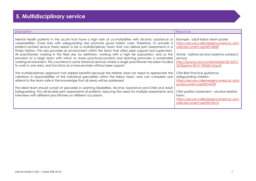# **5. Multidisciplinary service**

| Description                                                                                                                                                                                                                                                                                                                                                                                                                                                                                                                                                                                                                                                                                                                                                                                                                                                        | <b>Resources</b>                                                                                                                                                                                                                                        |
|--------------------------------------------------------------------------------------------------------------------------------------------------------------------------------------------------------------------------------------------------------------------------------------------------------------------------------------------------------------------------------------------------------------------------------------------------------------------------------------------------------------------------------------------------------------------------------------------------------------------------------------------------------------------------------------------------------------------------------------------------------------------------------------------------------------------------------------------------------------------|---------------------------------------------------------------------------------------------------------------------------------------------------------------------------------------------------------------------------------------------------------|
| Mental health patients in the acute trust have a high rate of co-morbidities with alcohol, substance or<br>vulnerabilities. Close links with safeguarding also promote good holistic care. Therefore, to provide a<br>patient-centred service there needs to be a multidisciplinary team that can deliver joint assessments in a<br>timely fashion. This also provides an environment within the team that offers peer support and supervision.<br>All practitioners working in this field are, by definition, working with a high risk population, and so the<br>provision of a large team with which to share practice/concerns and learning promotes a sustainable<br>working environment. This counteracts some historical services where a single practitioner has been funded<br>to work in one area, and functions as a lone provider without peer support. | Example - adult liaison team poster:<br>https://secure.collemergencymed.ac.uk/c<br>ode/document.asp?ID=6850<br>Article - Salford alcohol assertive outreach<br>service:<br>http://fg.bmj.com/content/early/2013/01/<br>22/flgastro-2012-100260.full.pdf |
| The multidisciplinary approach has added benefits because the referrer does not need to appreciate the<br>variations in responsibilities of the individual specialities within the liaison team, and can complete one<br>referral to the team safe in the knowledge that all areas will be addressed.<br>The ideal team should consist of specialists in Learning Disabilities, Alcohol, Substance and Child and Adult<br>Safeguarding. This will enable joint assessments of patients, reducing the need for multiple assessments and<br>interviews with different practitioners on different occasions.                                                                                                                                                                                                                                                          | CEM Best Practice guidance-<br>safeguarding children:<br>https://secure.collemergencymed.ac.uk/a<br>sp/document.asp?ID=4729<br>CEM position statement – alcohol related<br>harm:<br>https://secure.collemergencymed.ac.uk/c<br>ode/document.asp?ID=5616 |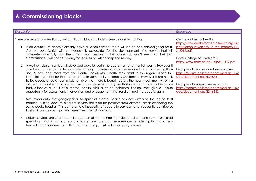# **6. Commissioning blocks**

| Description                                                                                                                                                                                                                                                                                                                                                                                                                                                                                                                                                                                                                                                                                                                                                                                                                  | <b>Resources</b>                                                                                                                                                                                                           |
|------------------------------------------------------------------------------------------------------------------------------------------------------------------------------------------------------------------------------------------------------------------------------------------------------------------------------------------------------------------------------------------------------------------------------------------------------------------------------------------------------------------------------------------------------------------------------------------------------------------------------------------------------------------------------------------------------------------------------------------------------------------------------------------------------------------------------|----------------------------------------------------------------------------------------------------------------------------------------------------------------------------------------------------------------------------|
| There are several unintentional, but significant, blocks to Liaison Service commissioning:                                                                                                                                                                                                                                                                                                                                                                                                                                                                                                                                                                                                                                                                                                                                   | Centre for Mental Health:<br>http://www.centreformentalhealth.org.uk/                                                                                                                                                      |
| 1. If an acute trust doesn't already have a liaison service, there will be no one campaigning for it.<br>General psychiatrists will not necessarily advocates for the development of a service that will<br>compete financially with theirs, and most people in the acute trust don't see it as their job.                                                                                                                                                                                                                                                                                                                                                                                                                                                                                                                   | pdfs/liaison psychiatry in the modern NH<br><u>S 2012.pdf</u>                                                                                                                                                              |
| Commissioners will not be looking for services on which to spend money.                                                                                                                                                                                                                                                                                                                                                                                                                                                                                                                                                                                                                                                                                                                                                      | Royal College of Psychiatrists:<br>http://www.rcpsych.ac.uk/pdf/PIG2.pdf                                                                                                                                                   |
| 2. A well-run Liaison service will save bed days for both the acute trust and mental health. However it<br>can be a challenge to demonstrate a strong business case to one service line or budget bottom<br>line. A new document from the Centre for Mental Health may assist in this regard, since the<br>financial argument for the trust and health community at large is substantial. However there needs<br>to be acceptance at commissioner level that there is benefit across the health community from a<br>properly established and sustainable Liaison service. It may be that an attendance to the acute<br>trust, either as a result of a mental health crisis or as an incidental finding, may give a unique<br>opportunity for assessment, intervention and engagement that results in real therapeutic gains. | Example - liaison service business case:<br>https://secure.collemergencymed.ac.uk/c<br>ode/document.asp?ID=6851<br>Example - business case summary:<br>https://secure.collemergencymed.ac.uk/c<br>ode/document.asp?ID=6852 |
| Not infrequently the geographical footprint of mental health services differs to the acute trust<br>footprint, which leads to different service provision for patients from different areas attending the<br>same acute hospital. This can promote inequality of access to services, and frequently contributes<br>to significant delays in patient assessment and disposition.                                                                                                                                                                                                                                                                                                                                                                                                                                              |                                                                                                                                                                                                                            |
| Liaison services are often a small proportion of mental health service provision, and so with universal<br>4.<br>spending constraints it is a real challenge to ensure that these services remain a priority and ring-<br>fenced from short-term, but ultimately damaging, cost reduction programmes.                                                                                                                                                                                                                                                                                                                                                                                                                                                                                                                        |                                                                                                                                                                                                                            |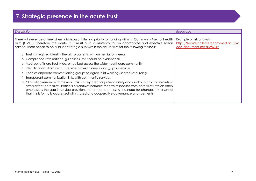# **7. Strategic presence in the acute trust**

| <b>Description</b>                                                                                                                                                                                                                                                                                                                                                                                                   | <b>Resources</b>                                                                                 |
|----------------------------------------------------------------------------------------------------------------------------------------------------------------------------------------------------------------------------------------------------------------------------------------------------------------------------------------------------------------------------------------------------------------------|--------------------------------------------------------------------------------------------------|
| There will never be a time when liaison psychiatry is a priority for funding within a Community Mental Health<br>Trust (CMHT). Therefore the acute trust must push consistently for an appropriate and effective liaison<br>service. There needs to be a liaison strategic hub within the acute trust for the following reasons:                                                                                     | Example of risk analysis:<br>https://secure.collemergencymed.ac.uk/c<br>ode/document.asp?ID=6849 |
| a. Trust risk register: identify the risk to patients with unmet liaison needs                                                                                                                                                                                                                                                                                                                                       |                                                                                                  |
| b. Compliance with national guidelines (this should be evidenced)                                                                                                                                                                                                                                                                                                                                                    |                                                                                                  |
| c. Most benefits are trust-wide, or realised across the wider healthcare community                                                                                                                                                                                                                                                                                                                                   |                                                                                                  |
| d. Identification of acute trust service provision needs and gaps in service.                                                                                                                                                                                                                                                                                                                                        |                                                                                                  |
| e. Enables disparate commissioning groups to agree joint working /shared resourcing                                                                                                                                                                                                                                                                                                                                  |                                                                                                  |
| f. Transparent communication links with community services                                                                                                                                                                                                                                                                                                                                                           |                                                                                                  |
| g. Clinical governance framework. This is a key area for patient safety and quality. Many complaints or<br>errors affect both trusts. Patients or relatives normally receive responses from both trusts, which often<br>emphasises the gap in service provision, rather than addressing the need for change. It is essential<br>that this is formally addressed with shared and cooperative governance arrangements. |                                                                                                  |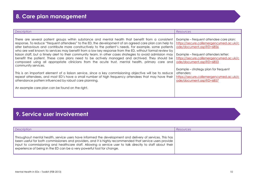| Description                                                                                                                                                                                                                                                                                                                                                                                                                                                                                                                                                                                                                                                                                                                                                                                                                                                                                                                                                                                                                                                                                                   | <b>Resources</b>                                                                                                                                                                                                                                                                                                                                          |
|---------------------------------------------------------------------------------------------------------------------------------------------------------------------------------------------------------------------------------------------------------------------------------------------------------------------------------------------------------------------------------------------------------------------------------------------------------------------------------------------------------------------------------------------------------------------------------------------------------------------------------------------------------------------------------------------------------------------------------------------------------------------------------------------------------------------------------------------------------------------------------------------------------------------------------------------------------------------------------------------------------------------------------------------------------------------------------------------------------------|-----------------------------------------------------------------------------------------------------------------------------------------------------------------------------------------------------------------------------------------------------------------------------------------------------------------------------------------------------------|
| There are several patient groups within substance and mental health that benefit from a consistent<br>response. To reduce "frequent attendees" to the ED, the development of an agreed care plan can help to<br>alter behaviours and contribute more constructively to the patient's needs. For example, some patients<br>who are well known to services may benefit from a low key response from the ED, without formal review by<br>liaison staff, but a timely alert to their community team. In other cases strategies to avoid admission may<br>benefit the patient. These care plans need to be actively managed and archived. They should be<br>composed using all appropriate clinicians from the acute trust, mental health, primary care and<br>community services.<br>This is an important element of a liaison service, since a key commissioning objective will be to reduce<br>repeat attendees, and most ED's have a small number of high frequency attendees that may have their<br>attendance pattern influenced by robust care planning.<br>An example care plan can be found on the right. | Example – frequent attendee care plan:<br>https://secure.collemergencymed.ac.uk/c<br>ode/document.asp?ID=6856<br>Example – frequent attenders letter:<br>https://secure.collemergencymed.ac.uk/c<br>ode/document.asp?ID=6853<br>Example – strategy plan for frequent<br>attenders:<br>https://secure.collemergencymed.ac.uk/c<br>ode/document.asp?ID=6857 |

# **9. Service user involvement**

| Description                                                                                                                                                                                                                                                                                                                                                                                                                  | Resources |
|------------------------------------------------------------------------------------------------------------------------------------------------------------------------------------------------------------------------------------------------------------------------------------------------------------------------------------------------------------------------------------------------------------------------------|-----------|
| Throughout mental health, service users have informed the development and delivery of services. This has  <br>been useful for both commissioners and providers, and it is highly recommended that service users provide<br>$\mid$ input to commissioning and healthcare staff. Allowing a service user to talk directly to staff about their $\mid$<br>experience of being in the ED can be a very powerful tool for change. |           |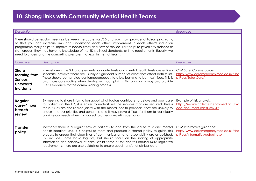# **10. Strong links with Community Mental Health Teams**

| <b>Description</b>                                                                                                                                                                                                                                                                                                                                                                                                                                                                                                 |                                                                                                                                                                                                                                                                                                                                                                                                                                                                                                                                               | <b>Resources</b>                                                                                      |
|--------------------------------------------------------------------------------------------------------------------------------------------------------------------------------------------------------------------------------------------------------------------------------------------------------------------------------------------------------------------------------------------------------------------------------------------------------------------------------------------------------------------|-----------------------------------------------------------------------------------------------------------------------------------------------------------------------------------------------------------------------------------------------------------------------------------------------------------------------------------------------------------------------------------------------------------------------------------------------------------------------------------------------------------------------------------------------|-------------------------------------------------------------------------------------------------------|
| There should be regular meetings between the acute trust/ED and your main provider of liaison psychiatry,<br>so that you can increase links and understand each other. Involvement in each other's induction<br>programme really helps to improve response times and flow of service. For the pure psychiatry trainees or<br>staff grades, they may have no knowledge of the ED's clinical standards, or time requirements. Equally, we<br>need to understand the competing pressures that exist in mental health. |                                                                                                                                                                                                                                                                                                                                                                                                                                                                                                                                               |                                                                                                       |
| Objective                                                                                                                                                                                                                                                                                                                                                                                                                                                                                                          | Description                                                                                                                                                                                                                                                                                                                                                                                                                                                                                                                                   | <b>Resources</b>                                                                                      |
| <b>Share</b><br>learning from<br><b>Serious</b><br><b>Untoward</b><br><b>Incidents</b>                                                                                                                                                                                                                                                                                                                                                                                                                             | In most areas the SUI arrangements for acute trusts and mental health trusts are entirely<br>separate, however there are usually a significant number of cases that affect both trusts.<br>These should be handled contemporaneously to allow learning to be maximised. This is<br>also more constructive when dealing with complaints. This approach may also provide<br>useful evidence for the commissioning process.                                                                                                                      | <b>CEM Safer Care resources:</b><br>http://www.collemergencymed.ac.uk/Sho<br>p-Floor/Safer Care/      |
| Regular<br>case/4 hour<br>breach<br>review                                                                                                                                                                                                                                                                                                                                                                                                                                                                         | By meeting to share information about what factors contribute to delays and poor care<br>for patients in the ED, it is easier to understand the services that are required. Unless<br>these issues are considered jointly with the mental health providers, they are unlikely to<br>understand our priorities and concerns, and it may prove difficult for them to realistically<br>prioritise our needs when compared to other competing demands.                                                                                            | Example of risk analysis:<br>https://secure.collemergencymed.ac.uk/c<br>ode/document.asp?ID=6849      |
| <b>Transfer</b><br>policy                                                                                                                                                                                                                                                                                                                                                                                                                                                                                          | Inevitably there is a regular flow of patients to and from the acute trust and mental<br>health inpatient unit. It is helpful to meet and produce a shared policy to guide this<br>process to ensure that clear lines of communication and responsibility are established.<br>This includes some basic logistics, but should focus on the sharing of appropriate<br>information and handover of care. Whilst some of this centres around MHA legislative<br>requirements, there are also guidelines to ensure good transfer of clinical data. | CEM Informatics guidance:<br>http://www.collemergencymed.ac.uk/Sho<br>p-Floor/Informatics/default.asp |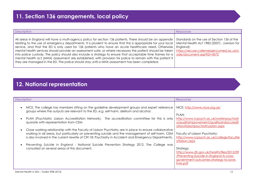| Description                                                                                                                                                                                                                                                                                                                                                                                                                                                                                                                                                                                                                                                                                                                                                                                                                                                                                                                                                        | Resources |
|--------------------------------------------------------------------------------------------------------------------------------------------------------------------------------------------------------------------------------------------------------------------------------------------------------------------------------------------------------------------------------------------------------------------------------------------------------------------------------------------------------------------------------------------------------------------------------------------------------------------------------------------------------------------------------------------------------------------------------------------------------------------------------------------------------------------------------------------------------------------------------------------------------------------------------------------------------------------|-----------|
| All areas in England will have a multi-agency policy for section 136 patients. There should be an appendix Standards on the use of Section 136 of the<br>relating to the use of emergency departments. It is prudent to ensure that this is appropriate for your local   Mental Health Act 1983 (2007) - (version for<br>service, and that the ED is only used for 136 patients who have an acute healthcare need. Otherwise   England):<br>mental health services should provide an assessment suite, or where necessary the patient should be taken   https://secure.collemergencymed.ac.uk/c<br>into police custody. The policy should also include a strategy to ensure that acceptable time frames for a   ode/document.asp?ID=4572<br>$\,$ mental health act (MHA) assessment are established, with provision for police to remain with the patient if $\,$<br>they are managed in the ED. The police should stay until a MHA assessment has been completed. |           |

# **12. National representation**

|                                                                                                                                                                                                                                                                                                                                                                                                                                                                                                                                                                                                                                                                                                                                                                                                                               | Resources                                                                                                                                                                                                                                                                                                                     |
|-------------------------------------------------------------------------------------------------------------------------------------------------------------------------------------------------------------------------------------------------------------------------------------------------------------------------------------------------------------------------------------------------------------------------------------------------------------------------------------------------------------------------------------------------------------------------------------------------------------------------------------------------------------------------------------------------------------------------------------------------------------------------------------------------------------------------------|-------------------------------------------------------------------------------------------------------------------------------------------------------------------------------------------------------------------------------------------------------------------------------------------------------------------------------|
| <b>Description</b><br>NICE. The college has members sitting on the guideline development groups and expert reference<br>groups where the outputs are relevant to the ED, e.g. self-harm, delirium and alcohol.<br>PLAN (Psychiatric Liaison Accreditation Network). The accreditation committee for this is only<br>quorate with representation from CEM.<br>Close working relationship with the Faculty of Liaison Psychiatry are in place to ensure collaborative<br>working in all areas, but particularly on preventing suicide and the management of self-harm. CEM<br>is also involved in the current rewrite of CR118: Psychiatry in Accident and Emergency Departments.<br>Preventing Suicide in England - National Suicide Prevention Strategy 2012. The College was<br>consulted on several areas of this document. | NICE: http://www.nice.org.uk/<br>PLAN:<br>http://www.rcpsych.ac.uk/workinpsychiatr<br>y/qualityimprovement/qualityandaccredit<br>ation/liaisonpsychiatry/plan.aspx<br>Faculty of Liaison Psychiatry:<br>http://www.rcpsych.ac.uk/college/facultie<br>s/liaison.aspx<br>Strategy:<br>http://www.dh.gov.uk/health/files/2012/09 |
|                                                                                                                                                                                                                                                                                                                                                                                                                                                                                                                                                                                                                                                                                                                                                                                                                               | /Preventing-Suicide-in-England-A-cross-<br>government-outcomes-strategy-to-save-<br>lives.pdf                                                                                                                                                                                                                                 |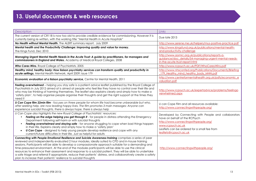| Description                                                                                                                                                                                                                                                                                                                                                                                                                                                                                                                                                                                                                                                                                                                 | Links                                                                                                                                                                                                                         |
|-----------------------------------------------------------------------------------------------------------------------------------------------------------------------------------------------------------------------------------------------------------------------------------------------------------------------------------------------------------------------------------------------------------------------------------------------------------------------------------------------------------------------------------------------------------------------------------------------------------------------------------------------------------------------------------------------------------------------------|-------------------------------------------------------------------------------------------------------------------------------------------------------------------------------------------------------------------------------|
| The current version of CR118 is now too old to provide credible evidence for commissioning. However it is<br>currently being re-written, with the working title "Mental Health in Acute Hospitals"                                                                                                                                                                                                                                                                                                                                                                                                                                                                                                                          | Due late 2013                                                                                                                                                                                                                 |
| No Health without Mental Health. The ALERT summary report, July 2009                                                                                                                                                                                                                                                                                                                                                                                                                                                                                                                                                                                                                                                        | http://www.serene.me.uk/helpers/mus-positive-practice.pdf                                                                                                                                                                     |
| Mental health and the Productivity Challenge: Improving quality and value for money.<br>The Kings Fund, Dec 2010                                                                                                                                                                                                                                                                                                                                                                                                                                                                                                                                                                                                            | http://www.kingsfund.org.uk/publications/mental-health-<br>and-productivity-challenge                                                                                                                                         |
| Managing Urgent Mental Health Needs in the Acute Trust: A guide by practitioners, for managers and<br>commissioners in England and Wales. Academy of Medical Royal Colleges, 2008                                                                                                                                                                                                                                                                                                                                                                                                                                                                                                                                           | http://www.aomrc.org.uk/publications/reports-a-<br>guidance/doc details/54-managing-urgent-mental-needs-<br>in-the-acute-trust-report.html                                                                                    |
| Who Cares Wins. Royal College of Psychiatrists, 2005                                                                                                                                                                                                                                                                                                                                                                                                                                                                                                                                                                                                                                                                        | http://www.rcpsych.ac.uk/PDF/WhoCaresWins.pdf                                                                                                                                                                                 |
| Healthy mind, healthy body: How liaison psychiatry services can transform quality and productivity in<br>acute settings. Mental Health Network, April 2009; issue 179                                                                                                                                                                                                                                                                                                                                                                                                                                                                                                                                                       | http://www.nhsconfed.org/Publications/Documents/Briefing<br>179 Healthy mind healthy body MHN.pdf                                                                                                                             |
| Economic evaluation of a liaison psychiatry service, Centre for Mental Health, 2011                                                                                                                                                                                                                                                                                                                                                                                                                                                                                                                                                                                                                                         | http://www.centreformentalhealth.org.uk/pdfs/economic_e<br>valuation.pdf                                                                                                                                                      |
| Feeling overwhelmed - helping you stay safe is a patient advice leaflet published by the Royal College of<br>Psychiatrists in July 2012 aimed at is aimed at people who feel like they have no control over their life and<br>who may be thinking of harming themselves. The leaflet also explains clearly and simply how to make a<br>'safety plan', to help organise people organise their thoughts and get the right support at the times they<br>need it                                                                                                                                                                                                                                                                | http://www.rcpsych.ac.uk/expertadvice/problems/feelingo<br>verwhelmed.aspx                                                                                                                                                    |
| U Can Cope film 22min film - focuses on three people for whom life had become unbearable but who,<br>after seeking help, are now leading happy lives. The film promotes 3 main messages: Anyone can<br>experience suicidal thoughts, there is always hope, there is always help                                                                                                                                                                                                                                                                                                                                                                                                                                             | U can Cope Film and all resources available:<br>http://www.connectingwithpeople.org/                                                                                                                                          |
| U Can Cope also highlights the new Royal College of Psychiatrists' resources:<br>Feeling on the edge helping you get through it - for people in distress attending the Emergency<br>Department following self-harm or with suicidal thoughts<br>Feeling overwhelmed and staying safe - for anyone struggling to cope when bad things happen<br>$\bullet$<br>in their life. Explains clearly and simply how to make a 'safety plan'<br><b>U Can Cope</b> - designed to help young people develop resilience and cope with any<br>$\bullet$<br>current/future difficulties in their life. Just as helpful for adults                                                                                                          | Developed by Connecting with People and collaborators<br>have on behalf of the RCPsych<br>http://www.connectingwithpeople.org/<br>www.rcpsych.ac.uk<br>Leaflets can be ordered for a small fee from<br>leaflets@rcpsych.ac.uk |
| Connecting with People Emotional Resilience and Suicide Awareness training comprises a series of peer<br>reviewed and independently evaluated 2 hour modules, ideally suited to CPD and in-house training<br>sessions. Participants will be able to develop a compassionate approach suitable for a demanding and<br>time-pressured environment. At the end of the modules participants will be able to use the clinical<br>resources to enhance their assessment and response to a suicidal patient. They will be able to undertake<br>a safe triage and referral if appropriate, reduce their patients' distress, and collaboratively create a safety<br>plan to increase their patients' resilience to suicidal thoughts | http://www.connectingwithpeople.org/                                                                                                                                                                                          |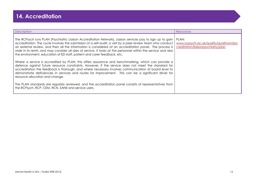| Description                                                                                                                                                                                                                                                                                                                                                                                                                                                                                                                          | Resources                                                                             |
|--------------------------------------------------------------------------------------------------------------------------------------------------------------------------------------------------------------------------------------------------------------------------------------------------------------------------------------------------------------------------------------------------------------------------------------------------------------------------------------------------------------------------------------|---------------------------------------------------------------------------------------|
| The RCPsych runs PLAN (Psychiatric Liaison Accreditation Network). Liaison services pay to sign up to gain<br>accreditation. The cycle involves the submission of a self-audit, a visit by a peer review team who conduct<br>an external review, and then all the information is considered at an accreditation panel. The process is<br>wide in its remit, and may consider all sizes of service. It looks at the personnel within the service and also<br>the environment, education of ED staff, patient and carer feedback, etc. | PLAN:<br>www.rcpsych.ac.uk/quality/qualityandac<br>creditation/liaisonpsychiatry/plan |
| Where a service is accredited by PLAN, this offers assurance and benchmarking, which can provide a<br>defence against future resource constraints. However, if the service does not meet the standard for<br>accreditation the feedback is thorough, and where necessary involves communication at board level to<br>demonstrate deficiencies in services and routes for improvement. This can be a significant driver for<br>resource allocation and change.                                                                        |                                                                                       |
| The PLAN standards are regularly reviewed, and the accreditation panel consists of representatives from<br>the RCPsych, RCP, CEM, RCN, SANE and service users.                                                                                                                                                                                                                                                                                                                                                                       |                                                                                       |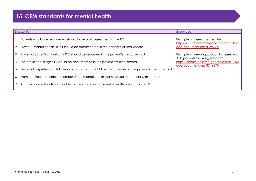### **15. CEM standards for mental health**

| <b>Description</b>                                                                                         | Resources                                                                     |
|------------------------------------------------------------------------------------------------------------|-------------------------------------------------------------------------------|
| 1. Patients who have self-harmed should have a risk assessment in the ED                                   | Example risk assessment matrix:<br>http://secure.collemergencymed.ac.uk/c     |
| 2. Previous mental health issues should be documented in the patient's clinical record                     | ode/document.asp?ID=6855                                                      |
| 3. A Mental State Examination (MSE) should be recorded in the patient's clinical record                    | Example - 4 areas approach for assessing<br>AED patients following self-harm: |
| 4. The provisional diagnosis should be documented in the patient's clinical record                         | https://secure.collemergencymed.ac.uk/c<br>ode/document.asp?ID=6870           |
| 5. Details of any referral or follow-up arrangements should be documented in the patient's clinical record |                                                                               |
| 6. From the time of referral, a member of the mental health team will see the patient within 1 hour        |                                                                               |
| 7. An appropriate facility is available for the assessment of mental health patients in the ED             |                                                                               |